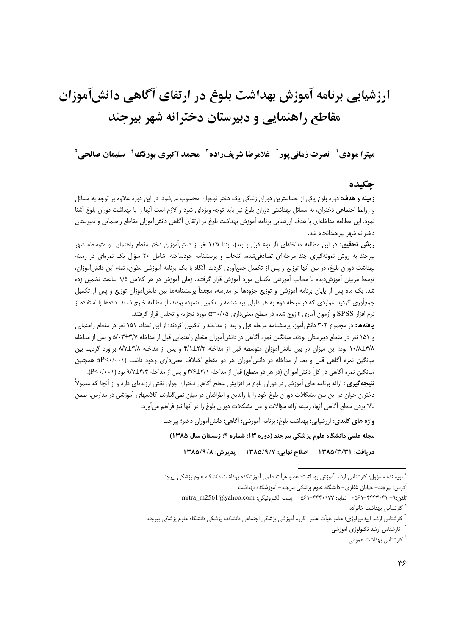# ارزشیابی برنامه آموزش بهداشت بلوغ در ارتقای آگاهی دانشآموزان مقاطع راهنمایی و دبیرستان دخترانه شهر بیرجند

میترا مودی <sup>۱</sup>- نصرت زمانی یور <sup>۲</sup>- غلامرضا شریفزاده <sup>۳</sup>- محمد اکبری بورنگ<sup>ی ٤</sup>- سلیمان صالحی °

### چکیده

**زمینه و هدف:** دوره بلوغ یکی از حساسترین دوران زندگی یک دختر نوجوان محسوب میشود. در این دوره علاوه بر توجه به مسائل و روابط اجتماعی دختران، به مسائل بهداشتی دوران بلوغ نیز باید توجه ویژهای شود و لازم است آنها را با بهداشت دوران بلوغ آشنا نمود. این مطالعه مداخله|ی با هدف ارزشیابی برنامه آموزش بهداشت بلوغ در ارتقای اَگاهی دانش آموزان مقاطع راهنمایی و دبیرستان دخترانه شهر بيرجندانجام شد.

روش تحقیق: در این مطالعه مداخلهای (از نوع قبل و بعد)، ابتدا ۳۲۵ نفر از دانشآموزان دختر مقطع راهنمایی و متوسطه شهر بیرجند به روش نمونهگیری چند مرحلهای تصادفی شده، انتخاب و پرسشنامه خودساخته، شامل ۲۰ سؤال یک نمرهای در زمینه بهداشت دوران بلوغ، در بین آنها توزیع و پس از تکمیل جمعآوری گردید. آنگاه با یک برنامه آموزشی مدّون، تمام این دانش[موزان، توسط مربیان آموزشدیده با مطالب آموزشی یکسان مورد آموزش قرار گرفتند. زمان آموزش در هر کلاس ۱/۵ ساعت تخمین زده شد. یک ماه پس از پایان برنامه آموزشی و توزیع جزوهها در مدرسه، مجدداً پرسشنامهها بین دانشآموزان توزیع و پس از تکمیل جمعآوری گردید. مواردی که در مرحله دوم به هر دلیلی پرسشنامه را تکمیل ننموده بودند، از مطالعه خارج شدند. دادهها با استفاده از نرم افزار SPSS و آزمون آماری t زوج شده در سطح معنیداری α−۰/۰۵ مورد تجزیه و تحلیل قرار گرفتند.

**یافتهها:** در مجموع ۳۰۲ دانش آموز، پرسشنامه مرحله قبل و بعد از مداخله را تکمیل کردند؛ از این تعداد، ۱۵۱ نفر در مقطع راهنمایی و ۱۵۱ نفر در مقطع دبیرستان بودند. میانگین نمره آگاهی در دانش آموزان مقطع راهنمایی قبل از مداخله ۵/۰۳±۵/۲ و پس از مداخله ۱۰/A±۴/۸ بود؛ این میزان در بین دانش آموزان متوسطه قبل از مداخله ۴/۱±۲/۳ و پس از مداخله ۸/۷±۲/۸ برآورد گردید. بین میانگین نمره أگاهی قبل و بعد از مداخله در دانش[موزان هر دو مقطع اختلاف معنیداری وجود داشت (۲۰۰۱->P)؛ همچنین میانگین نمره آگاهی در کلّ دانش[موزان (در هر دو مقطع) قبل از مداخله ۴/۶±۳/۱ و پس از مداخله ۴/۴±۹/۷ بود (۴۰۰/۰۰).

**نتیجه تیری :** ارائه برنامه های آموزشی در دوران بلوغ در افزایش سطح آگاهی دختران جوان نقش ارزندهای دارد و از آنجا که معمولاً دختران جوان در این سن مشکلات دوران بلوغ خود را با والدین و اطرافیان در میان نمیگذارند، کلاسهای آموزشی در مدارس، ضمن بالا بردن سطح آگاهی آنها، زمینه ارائه سؤالات و حل مشکلات دوران بلوغ را در آنها نیز فراهم میآورد.

**واژه های کلیدی:** ارزشیابی؛ بهداشت بلوغ؛ برنامه آموزشی؛ آگاهی؛ دانش آموزان دختر؛ بیرجند

مجله علمی دانشگاه علوم پزشکی بیرجند (دوره ۱۳؛ شماره ۴؛ زمستان سال ۱۳۸۵)

دريافت: ١٣٨٥/٣/١ اصلاح نهايي: ١٣٨٥/٩/٧ يذيرش: ١٣٨٥/٩/٨

<sup>ّ</sup> نویسنده مسؤول؛ کارشناس ارشد آموزش بهداشت؛ عضو هیأت علمی آموزشکده بهداشت دانشگاه علوم پزشکی بیرجند

آدرس: بیرجند– خیابان غفاری– دانشگاه علوم پزشکی بیرجند– آموزشکده بهداشت

تلفن:٩- 6\*٣۴٣-٤\*١ - مابر: ٢٢٧-٤٣١-٤٠١ - مه - بست الكترونيكي: mitra\_m2561@yahoo.com

<sup>&</sup>lt;sup>۲</sup> کارشناس بهداشت خانواده

<sup>&</sup>lt;sup>۳</sup> کارشناس ارشد اپیدمیولوژی؛ عضو هیأت علمی گروه آموزشی پزشکی اجتماعی دانشکده پزشکی دانشگاه علوم پزشکی بیرجند

<sup>&</sup>lt;sup>۴</sup> کارشناس ارشد تکنولوژی آموزشی

<sup>&</sup>lt;sup>۴</sup> کارشناس بهداشت عمومی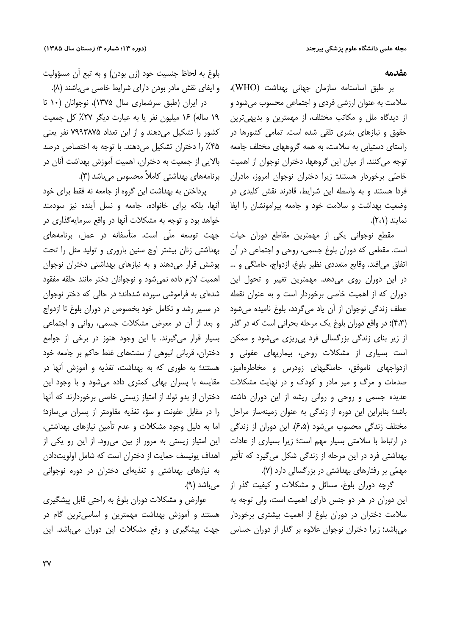#### مقدمه

بر طبق اساسنامه سازمان جهانی بهداشت (WHO)، سلامت به عنوان ارزشی فردی و اجتماعی محسوب میشود و از دیدگاه ملل و مکاتب مختلف، از مهمترین و بدیهیترین حقوق و نیازهای بشری تلقی شده است. تمامی کشورها در راستای دستیابی به سلامت، به همه گروههای مختلف جامعه توجه می کنند. از میان این گروهها، دختران نوجوان از اهمیت خاصّی برخوردار هستند؛ زیرا دختران نوجوان امروز، مادران فردا هستند و به واسطه این شرایط، قادرند نقش کلیدی در وضعیت بهداشت و سلامت خود و جامعه پیرامونشان را ایفا نمایند (۲،۱).

مقطع نوجوانی یکی از مهمترین مقاطع دوران حیات است. مقطعی که دوران بلوغ جسمی، روحی و اجتماعی در آن اتفاق می|فتد. وقایع متعددی نظیر بلوغ، ازدواج، حاملگی و … در این دوران روی میدهد. مهمترین تغییر و تحول این دوران که از اهمیت خاصی برخوردار است و به عنوان نقطه عطف زندگی نوجوان از آن یاد می گردد، بلوغ نامیده می شود (۴،۳)؛ در واقع دوران بلوغ یک مرحله بحرانی است که در گذر از زير بناي زندگي بزرگسالي فرد يي ريزي مي شود و ممکن است بسیاری از مشکلات روحی، بیماریهای عفونی و ازدواجهای ناموفق، حاملگیهای زودرس و مخاطرهآمیز، صدمات و مرگ و میر مادر و کودک و در نهایت مشکلات عدیده جسمی و روحی و روانی ریشه از این دوران داشته باشد؛ بنابراین این دوره از زندگی به عنوان زمینهساز مراحل مختلف زندگی محسوب میشود (۶٬۵). این دوران از زندگی در ارتباط با سلامتی بسیار مهم است؛ زیرا بسیاری از عادات بهداشتی فرد در این مرحله از زندگی شکل میگیرد که تأثیر مهمّی بر رفتارهای بهداشتی در بزرگسالی دارد (۷).

گرچه دوران بلوغ، مسائل و مشکلات و کیفیت گذر از این دوران در هر دو جنس دارای اهمیت است، ولی توجه به سلامت دختران در دوران بلوغ از اهمیت بیشتری برخوردار می باشد؛ زیرا دختران نوجوان علاوه بر گذار از دوران حساس

بلوغ به لحاظ جنسيت خود (زن بودن) و به تبع آن مسؤوليت و ایفای نقش مادر بودن دارای شرایط خاصی میباشند (۸).

در ایران (طبق سرشماری سال ۱۳۷۵)، نوجوانان (۱۰ تا ١٩ ساله) ١۶ ميليون نفر يا به عبارت ديگر ٢٧٪ كل جمعيت کشور را تشکیل می دهند و از این تعداد ۷۹۹۳۸۷۵ نفر یعنی ۴۵٪ را دختران تشکیل میدهند. با توجه به اختصاص درصد بالایی از جمعیت به دختران، اهمیت آموزش بهداشت آنان در برنامەھای بھداشتی کاملاً محسوس میباشد (۳).

پرداختن به بهداشت این گروه از جامعه نه فقط برای خود آنها، بلكه براى خانواده، جامعه و نسل آينده نيز سودمند خواهد بود و توجه به مشکلات آنها در واقع سرمایه گذاری در جهت توسعه ملّى است. متأسفانه در عمل، برنامههاى بهداشتی زنان بیشتر اوج سنین باروری و تولید مثل را تحت پوشش قرار میدهند و به نیازهای بهداشتی دختران نوجوان اهمیت لازم داده نمی شود و نوجوانان دختر مانند حلقه مفقود شدهای به فراموشی سیرده شدهاند؛ در حالی که دختر نوجوان در مسیر رشد و تکامل خود بخصوص در دوران بلوغ تا ازدواج و بعد از آن در معرض مشکلات جسمی، روانی و اجتماعی بسیار قرار میگیرند. با این وجود هنوز در برخی از جوامع دختران، قربانی انبوهی از سنتهای غلط حاکم بر جامعه خود هستند؛ به طوری که به بهداشت، تغذیه و آموزش آنها در مقایسه با پسران بهای کمتری داده می شود و با وجود این دختران از بدو تولد از امتیاز زیستی خاصی برخوردارند که آنها را در مقابل عفونت و سؤء تغذیه مقاومتر از پسران می سازد؛ اما به دلیل وجود مشکلات و عدم تأمین نیازهای بهداشتی، این امتیاز زیستی به مرور از بین می رود. از این رو یکی از اهداف یونیسف حمایت از دختران است که شامل اولویتدادن به نیازهای بهداشتی و تغذیهای دختران در دوره نوجوانی مے باشد (۹).

عوارض و مشکلات دوران بلوغ به راحتی قابل پیشگیری هستند و آموزش بهداشت مهمترین و اساسی ترین گام در جهت پیشگیری و رفع مشکلات این دوران میباشد. این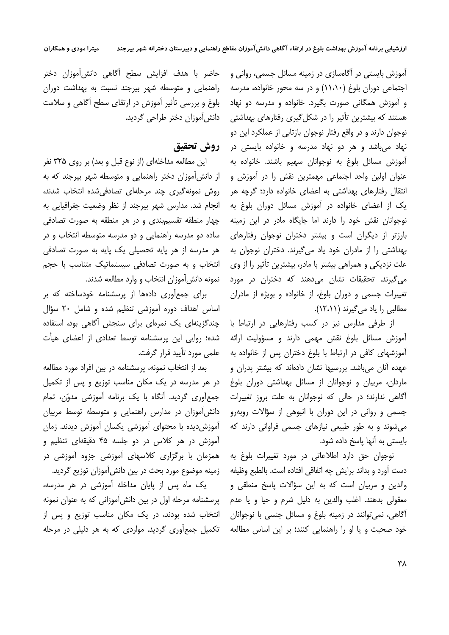میترا مودی و همکاران

آموزش بایستی در آگاهسازی در زمینه مسائل جسمی، روانی و اجتماعی دوران بلوغ (۱۱،۱۰) و در سه محور خانواده، مدرسه و آموزش همگانی صورت بگیرد. خانواده و مدرسه دو نهاد هستند که بیشترین تأثیر را در شکل گیری رفتارهای بهداشتی نوجوان دارند و در واقع رفتار نوجوان بازتابی از عملکرد این دو نهاد میباشد و هر دو نهاد مدرسه و خانواده بایست*ی* در آموزش مسائل بلوغ به نوجوانان سهيم باشند. خانواده به عنوان اولین واحد اجتماعی مهمترین نقش را در آموزش و انتقال رفتارهای بهداشتی به اعضای خانواده دارد؛ گرچه هر یک از اعضای خانواده در آموزش مسائل دوران بلوغ به نوجوانان نقش خود را دارند اما جایگاه مادر در این زمینه بارزتر از دیگران است و بیشتر دختران نوجوان رفتارهای بهداشتی را از مادران خود یاد میگیرند. دختران نوجوان به علت نزدیکی و همراهی بیشتر با مادر، بیشترین تأثیر را از وی می *گ*یرند. تحقیقات نشان میدهند که دختران در مورد تغییرات جسمی و دوران بلوغ، از خانواده و بویژه از مادران مطالبي را ياد مي گيرند (١٢،١١).

از طرفی مدارس نیز در کسب رفتارهایی در ارتباط با آموزش مسائل بلوغ نقش مهمی دارند و مسؤولیت ارائه آموزشهای کافی در ارتباط با بلوغ دختران پس از خانواده به عهده آنان می باشد. بررسیها نشان دادهاند که بیشتر پدران و ماردان، مربیان و نوجوانان از مسائل بهداشتی دوران بلوغ آگاهی ندارند؛ در حالی که نوجوانان به علت بروز تغییرات جسمی و روانی در این دوران با انبوهی از سؤالات روبهرو میشوند و به طور طبیعی نیازهای جسمی فراوانی دارند که بایستی به آنها یاسخ داده شود.

نوجوان حق دارد اطلاعاتی در مورد تغییرات بلوغ به دست آورد و بداند برايش چه اتفاقى افتاده است. بالطبع وظيفه والدین و مربیان است که به این سؤالات پاسخ منطقی و معقولي بدهند. اغلب والدين به دليل شرم و حيا و يا عدم آگاهی، نمی توانند در زمینه بلوغ و مسائل جنسی با نوجوانان خود صحبت و یا او را راهنمایی کنند؛ بر این اساس مطالعه

حاضر با هدف افزایش سطح آگاهی دانشآموزان دختر راهنمایی و متوسطه شهر بیرجند نسبت به بهداشت دوران بلوغ و بررسی تأثیر آموزش در ارتقای سطح أگاهی و سلامت دانش آموزان دختر طراحی گردید.

# روش تحقيق

این مطالعه مداخلهای (از نوع قبل و بعد) بر روی ۳۲۵ نفر از دانش آموزان دختر راهنمایی و متوسطه شهر بیرجند که به روش نمونهگیری چند مرحلهای تصادفیشده انتخاب شدند، انجام شد. مدارس شهر بيرجند از نظر وضعيت جغرافيايي به چهار منطقه تقسیمبندی و در هر منطقه به صورت تصادفی ساده دو مدرسه راهنمایی و دو مدرسه متوسطه انتخاب و در هر مدرسه از هر پایه تحصیلی یک پایه به صورت تصادفی انتخاب و به صورت تصادفی سیستماتیک متناسب با حجم نمونه دانش آموزان انتخاب و وارد مطالعه شدند.

برای جمعآوری دادهها از پرسشنامه خودساخته که بر اساس اهداف دوره آموزشی تنظیم شده و شامل ۲۰ سؤال چندگزینهای یک نمرهای برای سنجش آگاهی بود، استفاده شده؛ روایی این پرسشنامه توسط تعدادی از اعضای هیأت علمی مورد تأیید قرار گرفت.

بعد از انتخاب نمونه، پرسشنامه در بین افراد مورد مطالعه در هر مدرسه در یک مکان مناسب توزیع و پس از تکمیل جمع آوري گرديد. آنگاه با يک برنامه آموزشي مدوّن، تمام دانش آموزان در مدارس راهنمایی و متوسطه توسط مربیان آموزش دیده با محتوای آموزشی یکسان آموزش دیدند. زمان .<br>آموزش در هر کلاس در دو جلسه ۴۵ دقیقهای تنظیم و همزمان با برگزاری کلاسهای آموزشی جزوه آموزشی در زمینه موضوع مورد بحث در بین دانش آموزان توزیع گردید.

یک ماه پس از پایان مداخله آموزشی در هر مدرسه، پرسشنامه مرحله اول در بین دانش آموزانی که به عنوان نمونه انتخاب شده بودند، در یک مکان مناسب توزیع و پس از تکمیل جمعآوری گردید. مواردی که به هر دلیلی در مرحله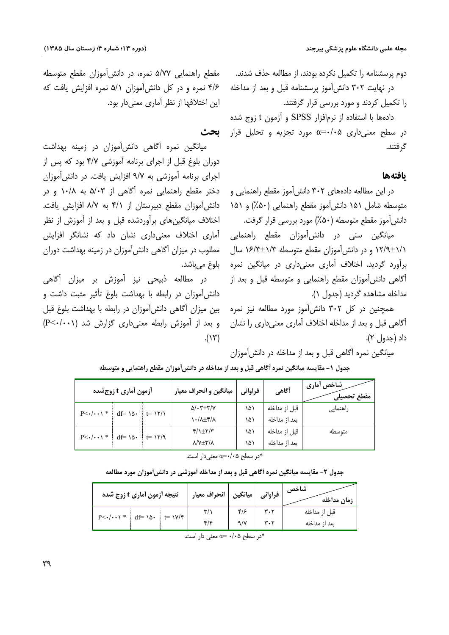مقطع راهنمایی ۵/۷۷ نمره، در دانش آموزان مقطع متوسطه

۴/۶ نمره و در کل دانش آموزان ۵/۱ نمره افزایش یافت که

میانگین نمره آگاهی دانش[موزان در زمینه بهداشت

دوران بلوغ قبل از اجرای برنامه آموزشی ۴/۷ بود که پس از

اجرای برنامه آموزشی به ۹/۷ افزایش یافت. در دانشآموزان

دختر مقطع راهنمایی نمره آگاهی از ۵/۰۳ به ۱۰/۸ و در

دانش آموزان مقطع دبیرستان از ۴/۱ به ۸/۷ افزایش یافت.

اختلاف میانگین های برآوردشده قبل و بعد از آموزش از نظر

آماری اختلاف معنی داری نشان داد که نشانگر افزایش

مطلوب در میزان آگاهی دانش آموزان در زمینه بهداشت دوران

در مطالعه ذبیحی نیز آموزش بر میزان آگاهی

دانش آموزان در رابطه با بهداشت بلوغ تأثیر مثبت داشت و

بین میزان آگاهی دانش آموزان در رابطه با بهداشت بلوغ قبل

و بعد از آموزش رابطه معنی داری گزارش شد (P<٠/٠٠١)

این اختلافها از نظر آماری معنی دار بود.

ىحث

بلوغ ميباشد.

دوم پرسشنامه را تکمیل نکرده بودند، از مطالعه حذف شدند. در نهایت ۳۰۲ دانش آموز پرسشنامه قبل و بعد از مداخله را تکمیل کردند و مورد بررسی قرار گرفتند.

دادهها با استفاده از نرمافزار SPSS و آزمون t زوج شده در سطح معنی داری ۵+۰+=c مورد تجزیه و تحلیل قرار گر فتند.

## بافتهها

در این مطالعه دادههای ۳۰۲ دانش[موز مقطع راهنمایی و متوسطه شامل ۱۵۱ دانشآموز مقطع راهنمایی (۵۰٪) و ۱۵۱ دانش آموز مقطع متوسطه (۵۰٪) مورد بررسی قرار گرفت.

میانگین سنی در دانش[موزان مقطع راهنمایی ١/١±١/١٩ و در دانش آموزان مقطع متوسطه ١/٣±١/٣ سال برآورد گردید. اختلاف آماری معنیداری در میانگین نمره آگاهی دانش آموزان مقطع راهنمایی و متوسطه قبل و بعد از مداخله مشاهده گردید (جدول ۱).

همچنین در کل ۳۰۲ دانش آموز مورد مطالعه نیز نمره آگاهی قبل و بعد از مداخله اختلاف آماری معنیداری را نشان داد (جدول ۲).

میانگین نمره آگاهی قبل و بعد از مداخله در دانش آموزان

| اًزمون اًماری t زوجشده  |                         |                             | میانگین و انحراف معیار                               | فراواني | أگاهى         | شاخص أماري<br>مقطع تحصيلى |
|-------------------------|-------------------------|-----------------------------|------------------------------------------------------|---------|---------------|---------------------------|
| $P<\cdot/\cdot\cdot$ \* | $df = \lambda \Delta$ . | $t = \frac{\gamma}{\gamma}$ | $\Delta/\cdot\Upsilon\pm\Upsilon/\Upsilon$           | ۱۵۱     | قبل از مداخله | راهنمايي                  |
|                         |                         |                             | <b>\</b> -/ \__\_\                                   | ۱۵۱     | بعد از مداخله |                           |
| $P<\cdot/\cdot\cdot$ *  | $df= \Delta \cdot$      | $t=11/9$                    | $\frac{1}{2}$                                        | ۱۵۱     | قبل از مداخله | متوسطه                    |
|                         |                         |                             | $\lambda$ / $\gamma \pm \gamma^{\prime}$ / $\lambda$ | ۱۵۱     | بعد از مداخله |                           |

جدول ١- مقايسه ميانگين نمره أگاهي قبل و بعد از مداخله در دانش[موزان مقطع راهنمايي و متوسطه

 $.(\gamma \gamma)$ 

\*در سطح ۵+/۰=a معنىدار است.

| جدول ۲- مقایسه میانگین نمره آگاهی قبل و بعد از مداخله آموزشی در دانش[موزان مورد مطالعه |  |  |  |
|----------------------------------------------------------------------------------------|--|--|--|
|----------------------------------------------------------------------------------------|--|--|--|

| نتیجه أزمون أماری t زوج شده |           |                        | انحراف معيار            | ميانگين | فراوانی                       | شاخص<br>زمان مداخله |  |  |
|-----------------------------|-----------|------------------------|-------------------------|---------|-------------------------------|---------------------|--|--|
| $P<\cdot/\cdot\cdot$ \*     | $df=10$ . | $t = \frac{1}{\gamma}$ | $\mathbf{r}/\mathbf{v}$ | ۴۱۶     | $\mathbf{r} \cdot \mathbf{r}$ | قبل از مداخله       |  |  |
|                             |           |                        | ۴/۴                     |         |                               | بعد از مداخله       |  |  |
|                             |           |                        |                         |         |                               |                     |  |  |

در سطح ۰/۰۵ =α معنی دار است.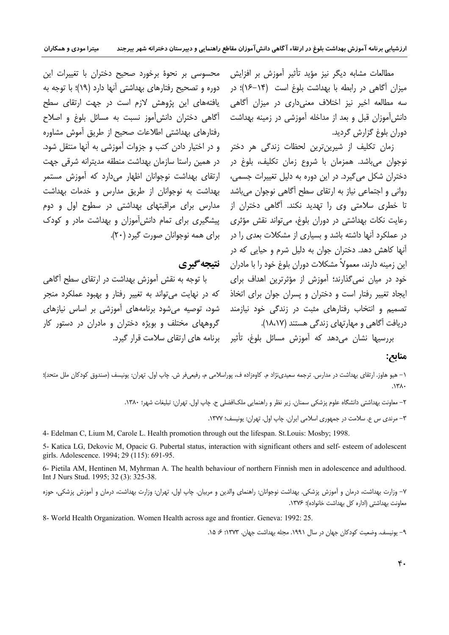میترا مودی و همکاران

آگاهی دختران دانش آموز نسبت به مسائل بلوغ و اصلاح

رفتارهای بهداشتی اطلاعات صحیح از طریق آموش مشاوره

و در اختیار دادن کتب و جزوات آموزشی به آنها منتقل شود.

در همین راستا سازمان بهداشت منطقه مدیترانه شرقی جهت

بهداشت به نوجوانان از طریق مدارس و خدمات بهداشت

مدارس برای مراقبتهای بهداشتی در سطوح اول و دوم

ییشگیری برای تمام دانش آموزان و بهداشت مادر و کودک

با توجه به نقش آموزش بهداشت در ارتقای سطح آگاهی

که در نهایت می تواند به تغییر رفتار و بهبود عملکرد منجر شود، توصیه می شود برنامههای آموزشی بر اساس نیازهای

گروههای مختلف و بویژه دختران و مادران در دستور کار

 $(5 \cdot)$ برای همه نوجوانان صورت گیرد

مطالعات مشابه دیگر نیز مؤید تأثیر آموزش بر افزایش محسوسی بر نحوهٔ برخورد صحیح دختران با تغییرات این میزان آگاهی در رابطه با بهداشت بلوغ است (۱۴–۱۶)؛ در دوره و تصحیح رفتارهای بهداشتی آنها دارد (۱۹)؛ با توجه به سه مطالعه اخیر نیز اختلاف معنی۱داری در میزان آگاهی ِ یافتههای این پژوهش لازم است در جهت ارتقای سطح دانش آموزان قبل و بعد از مداخله آموزشی در زمینه بهداشت دوران بلوغ گزارش گردید.

زمان تكليف از شيرينترين لحظات زندگي هر دختر نوجوان مي باشد. همزمان با شروع زمان تكليف، بلوغ در دختران شکل می گیرد. در این دوره به دلیل تغییرات جسمی، ارتقای بهداشت نوجوانان اظهار میدارد که آموزش مستمر روانی و اجتماعی نیاز به ارتقای سطح آگاهی نوجوان میباشد تا خطری سلامتی وی را تهدید نکند. آگاهی دختران از رعايت نکات بهداشتي در دوران بلوغ، مي تواند نقش مؤثري در عملکرد آنها داشته باشد و بسیاری از مشکلات بعدی را در آنها کاهش دهد. دختران جوان به دلیل شرم و حیایی که در این زمینه دارند، معمولاً مشکلات دوران بلوغ خود را با مادران خود در میان نمی گذارند؛ آموزش از مؤثرترین اهداف برای ایجاد تغییر رفتار است و دختران و پسران جوان برای اتخاذ تصمیم و انتخاب رفتارهای مثبت در زندگی خود نیازمند دریافت آگاهی و مهارتهای زندگی هستند (۱۸،۱۷).

بررسیها نشان می دهد که آموزش مسائل بلوغ، تأثیر عبرنامه های ارتقای سلامت قرار گیرد.

### منابع:

١– هيو هاوز. ارتقاى بهداشت در مدارس. ترجمه سعيدى:زاد م. كاوهزاده ف، پوراسلامى م، رفيعىفر ش. چاپ اول. تهران: يونيسف (صندوق كودكان ملل متحد)؛  $\lambda r \lambda$ 

۲– معاونت بهداشتی دانشگاه علوم پزشکی سمنان. زیر نظر و راهنمایی ملکافضلی ح. چاپ اول. تهران: تبلیغات شهر؛ ۱۳۸۰.

۳- مرندی س ع. سلامت در جمهوری اسلامی ایران. چاپ اول. تهران: یونیسف؛ ۱۳۷۷.

4- Edelman C, Lium M, Carole L. Health promotion through out the lifespan. St. Louis: Mosby; 1998.

نتيجه گېري

5- Katica LG, Dekovic M, Opacic G. Pubertal status, interaction with significant others and self- esteem of adolescent girls. Adolescence. 1994: 29 (115): 691-95.

6- Pietila AM, Hentinen M, Myhrman A. The health behaviour of northern Finnish men in adolescence and adulthood. Int J Nurs Stud. 1995; 32 (3): 325-38.

٧- وزارت بهداشت، درمان و آموزش پزشكي. بهداشت نوجوانان: راهنماي والدين و مربيان. چاپ اول، تهران: وزارت بهداشت، درمان و آموزش پزشكي، حوزه معاونت بهداشتی (اداره کل بهداشت خانواده)؛ ۱۳۷۶.

8- World Health Organization. Women Health across age and frontier. Geneva: 1992: 25.

۹– یونیسف. وضعیت کودکان جهان در سال ۱۹۹۱. مجله بهداشت جهان. ۱۳۷۳؛ ۶۰ ۱۵.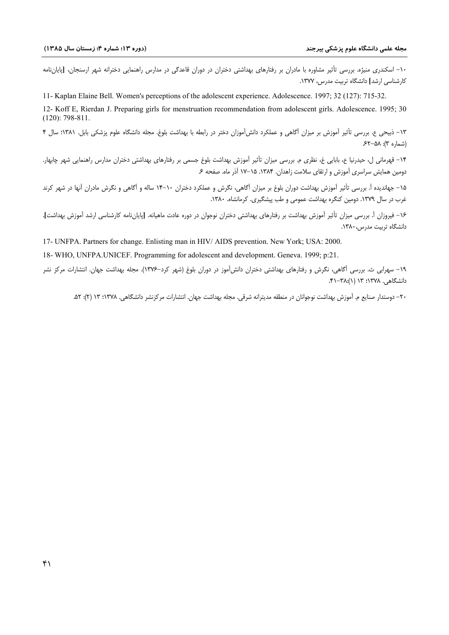۱۰– اسکندری منیژه. بررسی تأثیر مشاوره با مادران بر رفتارهای بهداشتی دختران در دوران قاعدگی در مدارس راهنمایی دخترانه شهر ارسنجان، [پایاننامه کارشناسی ارشد] دانشگاه تربیت مدرس، ۱۳۷۷.

11- Kaplan Elaine Bell. Women's perceptions of the adolescent experience. Adolescence. 1997; 32 (127): 715-32. 12- Koff E, Rierdan J. Preparing girls for menstruation recommendation from adolescent girls. Adolescence. 1995; 30  $(120): 798-811.$ 

١٣ - ذبيحي ع. بررسي تأثير آموزش بر ميزان آگاهي و عملكرد دانشآموزان دختر در رابطه با بهداشت بلوغ. مجله دانشگاه علوم پزشكي بابل. ١٣٨١؛ سال ۴ (شماره ۳): ۶۲–۶۲

۱۴ – قهرمانی ل، حیدرنیا ع، بابایی غ، نظری م. بررسی میزان تأثیر آموزش بهداشت بلوغ جسمی بر رفتارهای بهداشتی دختران مدارس راهنمایی شهر چابهار. دومین همایش سراسری آموزش و ارتقای سلامت زاهدان. ۱۳۸۴. ۱۵–۱۷ آذر ماه. صفحه ۶

۱۵– جهاندیده آ. بررسی تأثیر آموزش بهداشت دوران بلوغ بر میزان آگاهی، نگرش و عملکرد دختران ۱۰–۱۴ ساله و آگاهی و نگرش مادران آنها در شهر کرند غرب در سال ۱۳۷۹. دومین کنگره بهداشت عمومی و طب پیشگیری. کرمانشاه. ۱۳۸۰.

۱۶– فیروزان آ. بررسی میزان تأثیر آموزش بهداشت بر رفتارهای بهداشتی دختران نوجوان در دوره عادت ماهیانه. [پایاننامه کارشناسی ارشد آموزش بهداشت]. دانشگاه ترست مدرس،۱۳۸۰.

17- UNFPA. Partners for change. Enlisting man in HIV/ AIDS prevention. New York; USA: 2000.

18- WHO, UNFPA.UNICEF. Programming for adolescent and development. Geneva. 1999; p:21.

۱۹– سهرابی ث. بررسی آگاهی، نگرش و رفتارهای بهداشتی دختران دانش آموز در دوران بلوغ (شهر کرد–۱۳۷۶). مجله بهداشت جهان. انتشارات مرکز نشر دانشگاهی. ۱۳۷۸: ۱۳ (۰):۳۸-۴۱.

٢٠- دوستدار صنايع م. آموزش بهداشت نوجوانان در منطقه مديترانه شرقى. مجله بهداشت جهان. انتشارات مركزنشر دانشگاهى. ١٣٧٨؛ ١٣ (٢): ٥٢.